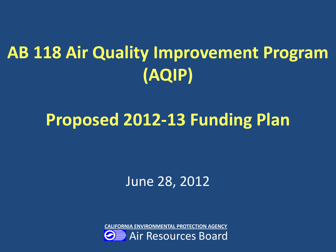# **AB 118 Air Quality Improvement Program (AQIP)**

### **Proposed 2012-13 Funding Plan**

June 28, 2012

**CALIFORNIA ENVIRONMENTAL PROTECTION AGENCY** 

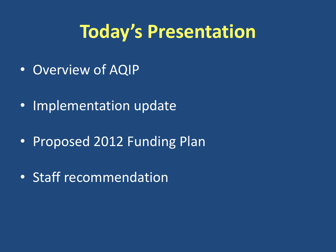## **Today's Presentation**

- Overview of AQIP
- Implementation update
- Proposed 2012 Funding Plan
- Staff recommendation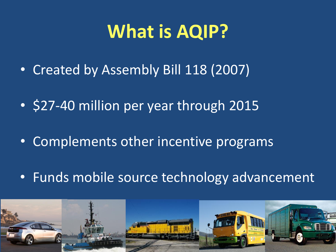## **What is AQIP?**

- Created by Assembly Bill 118 (2007)
- \$27-40 million per year through 2015
- Complements other incentive programs
- Funds mobile source technology advancement

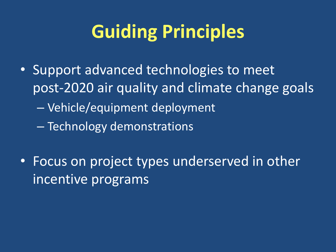# **Guiding Principles**

- Support advanced technologies to meet post-2020 air quality and climate change goals – Vehicle/equipment deployment – Technology demonstrations
- Focus on project types underserved in other incentive programs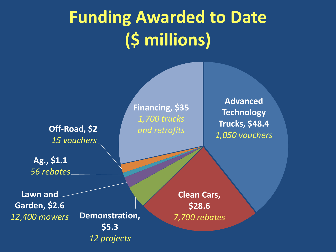# **Funding Awarded to Date (\$ millions)**

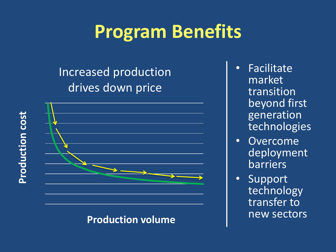## **Program Benefits**

#### Increased production drives down price



**Production volume** 

- Facilitate market transition beyond first generation **technologies**
- Overcome deployment barriers
- Support technology transfer to new sectors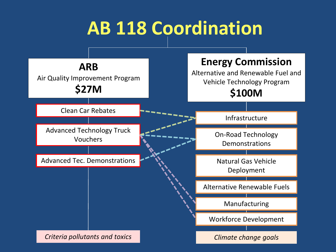## **AB 118 Coordination**

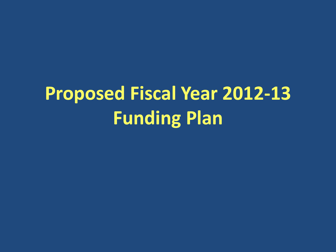# **Proposed Fiscal Year 2012-13 Funding Plan**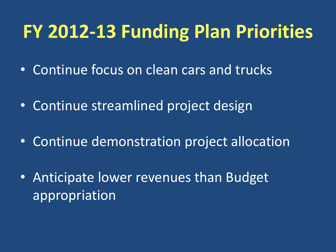## **FY 2012-13 Funding Plan Priorities**

- Continue focus on clean cars and trucks
- Continue streamlined project design
- Continue demonstration project allocation
- Anticipate lower revenues than Budget appropriation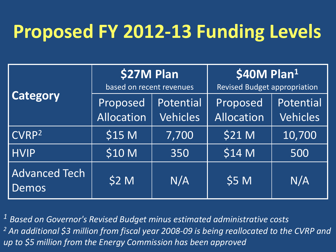# **Proposed FY 2012-13 Funding Levels**

| <b>Category</b>               | \$27M Plan<br>based on recent revenues |                              | \$40M Plan $1$<br><b>Revised Budget appropriation</b> |                              |
|-------------------------------|----------------------------------------|------------------------------|-------------------------------------------------------|------------------------------|
|                               | Proposed<br>Allocation                 | Potential<br><b>Vehicles</b> | Proposed<br>Allocation                                | Potential<br><b>Vehicles</b> |
| CVRP <sup>2</sup>             | \$15 M                                 | 7,700                        | <b>\$21 M</b>                                         | 10,700                       |
| <b>HVIP</b>                   | \$10 M                                 | 350                          | \$14 M                                                | 500                          |
| <b>Advanced Tech</b><br>Demos | \$2 M                                  | N/A                          | \$5 M                                                 | N/A                          |

*<sup>1</sup> Based on Governor's Revised Budget minus estimated administrative costs 2 An additional \$3 million from fiscal year 2008-09 is being reallocated to the CVRP and up to \$5 million from the Energy Commission has been approved*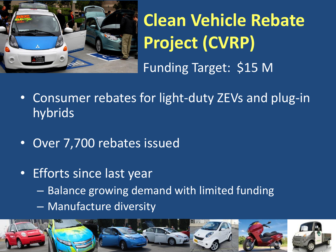

# **Clean Vehicle Rebate Project (CVRP)**  Funding Target: \$15 M

- Consumer rebates for light-duty ZEVs and plug-in hybrids
- Over 7,700 rebates issued
- Efforts since last year – Balance growing demand with limited funding – Manufacture diversity

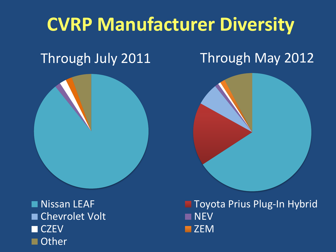# **CVRP Manufacturer Diversity**

#### Through July 2011

### Through May 2012





 $\blacksquare$ Chevrolet Volt NEV CZEV ZEMBER 1999 – ZEMBER 1999 – ZEMBER 1999 – ZEMBER 1999 – ZEMBER 1999 – ZEMBER 1999 – ZEMBER 1999 – ZEMBER **Other** 

Nissan LEAF Toyota Prius Plug-In Hybrid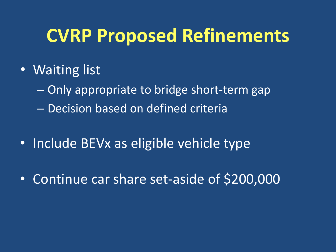### **CVRP Proposed Refinements**

- Waiting list
	- Only appropriate to bridge short-term gap
	- Decision based on defined criteria
- Include BEVx as eligible vehicle type
- Continue car share set-aside of \$200,000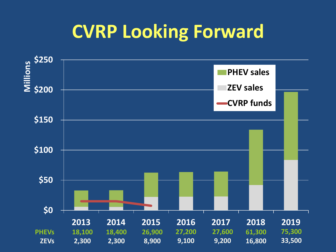## **CVRP Looking Forward**

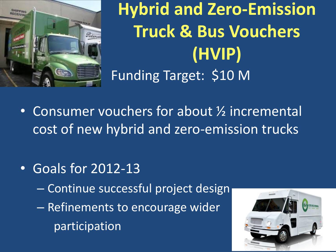

**Hybrid and Zero-Emission Truck & Bus Vouchers (HVIP)**  • Funding Target: \$10 M

- Consumer vouchers for about ½ incremental cost of new hybrid and zero-emission trucks
- Goals for 2012-13
	- Continue successful project design
	- Refinements to encourage wider participation

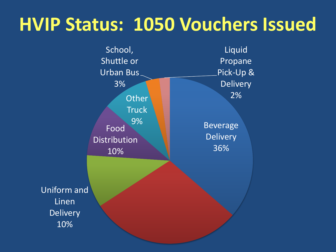## **HVIP Status: 1050 Vouchers Issued**

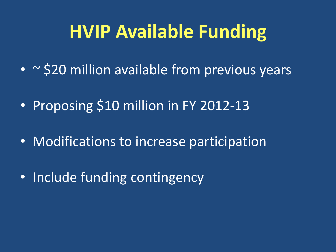## **HVIP Available Funding**

- ~ \$20 million available from previous years
- Proposing \$10 million in FY 2012-13
- Modifications to increase participation
- Include funding contingency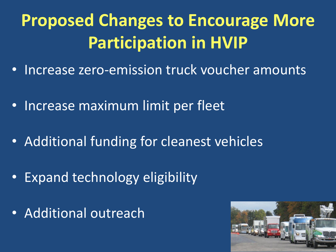## **Proposed Changes to Encourage More Participation in HVIP**

- Increase zero-emission truck voucher amounts
- Increase maximum limit per fleet
- Additional funding for cleanest vehicles
- Expand technology eligibility
- Additional outreach

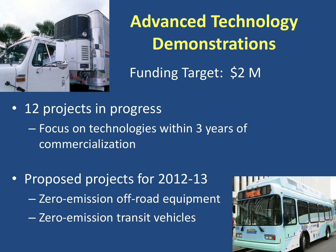

**Advanced Technology Demonstrations** 

• Funding Target: \$2 M

- 12 projects in progress – Focus on technologies within 3 years of commercialization
- Proposed projects for 2012-13 – Zero-emission off-road equipment – Zero-emission transit vehicles